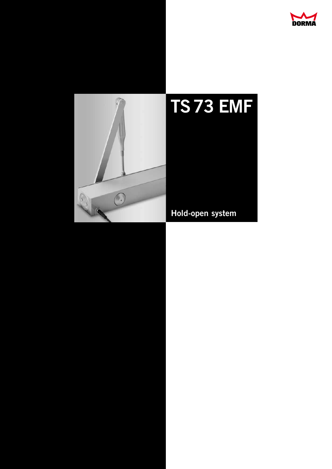

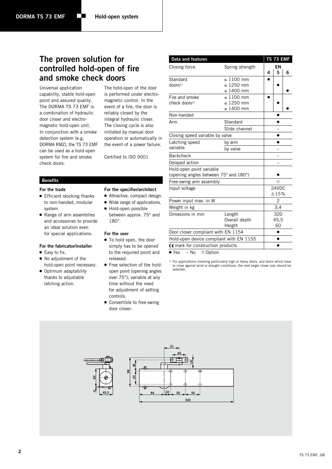# **The proven solution for controlled hold-open of fire and smoke check doors**

Universal application capability, stable hold-open point and assured quality. The DORMA TS 73 EMF is a combination of hydraulic door closer and electromagnetic hold-open unit. In conjunction with a smoke detection system (e.g. DORMA RMZ), the TS 73 EMF can be used as a hold-open system for fire and smoke check doors.

The hold-open of the door is performed under electromagnetic control. In the event of a fire, the door is reliably closed by the integral hydraulic closer. The closing cycle is also initiated by manual door operation or automatically in the event of a power failure.

Certified to ISO 9001

## **Benefits**

## **For the trade**

- Efficient stocking thanks to non-handed, modular system
- Range of arm assemblies and accessories to provide an ideal solution even for special applications.

### **For the fabricator/installer**

- Easy to fix.
- No adjustment of the hold-open point necessary.
- Optimum adaptability thanks to adjustable latching action.

| For the specifier/architect |  |
|-----------------------------|--|
|-----------------------------|--|

- Attractive, compact design.
- Wide range of applications.
- Hold-open possible between approx. 75° and

## **For the user**

180°.

- $\bullet$  To hold open, the door simply has to be opened to the required point and released.
- Free selection of the holdopen point (opening angles over 75°); variable at any time without the need for adjustment of setting controls.
- Convertible to free-swing door closer.

| Data and features                                                 |                                                    |   | TS 73 EMF     |   |
|-------------------------------------------------------------------|----------------------------------------------------|---|---------------|---|
| Closing force                                                     | Spring strength                                    | 4 | EN<br>5       | 6 |
| Standard<br>$d$ oors <sup>1)</sup>                                | $\leq 1100$ mm<br>$\leq$ 1250 mm<br>≤ 1400 mm      |   |               |   |
| Fire and smoke<br>$check$ doors <sup>1)</sup>                     | $\leq 1100$ mm<br>$\leq 1250$ mm<br>$\leq 1400$ mm |   |               |   |
| Non-handed                                                        |                                                    |   |               |   |
| Arm                                                               | Standard                                           |   | Ω             |   |
|                                                                   | Slide channel                                      |   |               |   |
| Closing speed variable by valve                                   |                                                    |   |               |   |
| Latching speed                                                    | by arm                                             |   |               |   |
| variable                                                          | by valve                                           |   |               |   |
| <b>Backcheck</b>                                                  |                                                    |   |               |   |
| Delayed action                                                    |                                                    |   |               |   |
| Hold-open point variable<br>(opening angles between 75° and 180°) |                                                    |   |               |   |
| Free-swing arm assembly                                           |                                                    |   | $\circ$       |   |
| Input voltage                                                     |                                                    |   | 24VDC<br>±15% |   |
| Power input max. in W                                             |                                                    |   | 2             |   |
| Weight in kg                                                      |                                                    |   | 3,4           |   |
| Dimesions in mm                                                   | Length                                             |   | 320           |   |
|                                                                   | Overall depth                                      |   | 45,5          |   |
|                                                                   | Height                                             |   | 60            |   |
| Door closer compliant with EN 1154                                |                                                    |   |               |   |
| Hold-open device compliant with EN 1155                           |                                                    |   |               |   |
| C€ mark for construction products                                 |                                                    |   |               |   |
| $\bullet$ Yes<br>$-$ No<br>○ Option                               |                                                    |   |               |   |

<sup>1)</sup> For applications involving particularly high or heavy doors, and doors which have to close against wind or draught conditions, the next larger closer size should be selected.

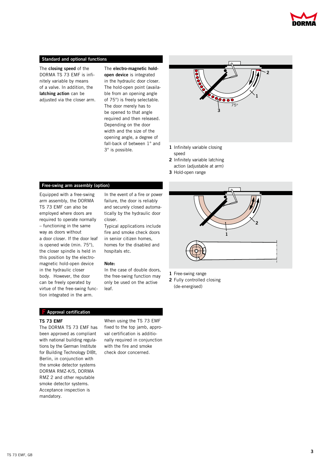

## **Standard and optional functions**

The **closing speed** of the DORMA TS 73 EMF is infinitely variable by means of a valve. In addition, the **latching action** can be adjusted via the closer arm. The **electro-magnetic holdopen device** is integrated in the hydraulic door closer. The hold-open point (available from an opening angle of 75°) is freely selectable. The door merely has to be opened to that angle required and then released. Depending on the door width and the size of the opening angle, a degree of fall-back of between 1° and 3° is possible.



- **1** Infinitely variable closing speed
- **2** Infinitely variable latching
- action (adjustable at arm)
- **3** Hold-open range

## **Free-swing arm assembly (option)**

Equipped with a free-swing arm assembly, the DORMA TS 73 EMF can also be employed where doors are required to operate normally – functioning in the same way as doors without a door closer. If the door leaf is opened wide (min. 75°), the closer spindle is held in this position by the electromagnetic hold-open device in the hydraulic closer body. However, the door can be freely operated by virtue of the free-swing function integrated in the arm.

In the event of a fire or power failure, the door is reliably and securely closed automatically by the hydraulic door closer.

Typical applications include fire and smoke check doors in senior citizen homes, homes for the disabled and hospitals etc.

#### **Note:**

In the case of double doors, the free-swing function may only be used on the active leaf.



**1** Free-swing range

**2** Fully controlled closing (de-energised)

## **F Approval certification**

## **TS 73 EMF**

The DORMA TS 73 EMF has been approved as compliant with national building regulations by the German Institute for Building Technology DIBt, Berlin, in conjunction with the smoke detector systems DORMA RMZ-K/S, DORMA RMZ 2 and other reputable smoke detector systems. Acceptance inspection is mandatory.

When using the TS 73 EMF fixed to the top jamb, approval certification is additionally required in conjunction with the fire and smoke check door concerned.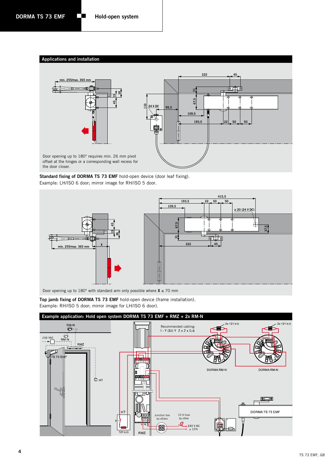





Door opening up to 180° with standard arm only possible where **X** ≤ 70 mm

**Top jamb fixing of DORMA TS 73 EMF** hold-open device (frame installation). Example: RH/ISO 5 door; mirror image for LH/ISO 6 door).

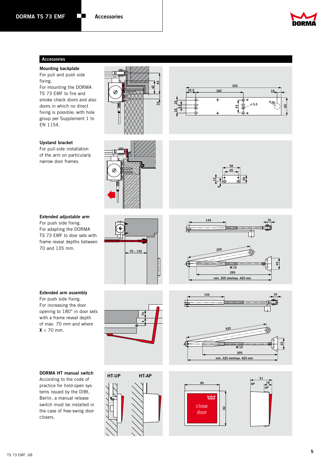

## **Accessories**

### **Mounting backplate**

For pull and push side fixing. For mounting the DORMA

TS 73 EMF to fire and smoke check doors and also doors in which no direct fixing is possible; with hole group per Supplement 1 to EN 1154.

## **Upstand bracket**

For pull-side installation of the arm on particularly narrow door frames.

## **Extended adjustable arm**

For push side fixing. For adapting the DORMA TS 73 EMF to door sets with frame reveal depths between 70 and 135 mm.



For push side fixing. For increasing the door opening to 180° in door sets with a frame reveal depth of max. 70 mm and where  $X < 70$  mm.

## **DORMA HT manual switch**

According to the code of practice for hold-open systems issued by the DIBt, Berlin, a manual release switch must be installed in the case of free-swing door closers.



**16 11 16**













ø **5,5**

**60**

<sup>ø</sup>**<sup>20</sup> <sup>320</sup>**

**32,5 160 14**

**58**

**45**

**26**

**612**

**43**



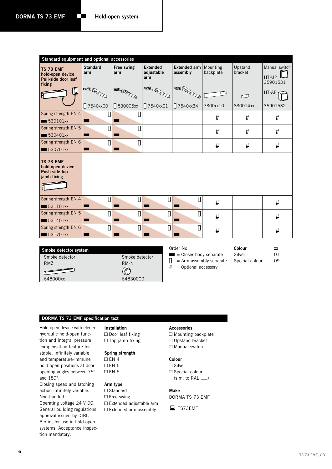| Standard equipment and optional accessories                    |                        |                   |                                      |                                 |                       |                    |                                    |
|----------------------------------------------------------------|------------------------|-------------------|--------------------------------------|---------------------------------|-----------------------|--------------------|------------------------------------|
| TS 73 EMF<br>hold-open device<br>Pull-side door leaf<br>fixing | <b>Standard</b><br>arm | Free swing<br>arm | <b>Extended</b><br>adjustable<br>arm | <b>Extended arm</b><br>assembly | Mounting<br>backplate | Upstand<br>bracket | Manual switch<br>HT-UP<br>35901531 |
| İ                                                              | æR<br>7540xx00         | 530005xx          | 7540xx01                             | ær<br>□ 7540xx34                | 7300xx10              | ┍<br>830014xx      | HT-AP<br>35901532                  |
| Spring strength EN 4<br>$\equiv$ 530101xx                      | О                      | Π                 |                                      |                                 | #                     | #                  | $\#$                               |
| Spring strength EN 5<br>$\blacksquare$ 530401xx                | Δ                      | Π                 |                                      |                                 | #                     | #                  | $\#$                               |
| Spring strength EN 6<br>530701xx<br>$\blacksquare$             | О                      | П                 |                                      |                                 | $\#$                  | #                  | $\#$                               |
| TS 73 EMF<br>hold-open device<br>Push-side top<br>jamb fixing  |                        |                   |                                      |                                 |                       |                    |                                    |
| Spring strength EN 4<br>531101xx<br>$\blacksquare$             | О                      | П                 | О                                    | О                               | #                     |                    | #                                  |
| Spring strength EN 5<br>531401xx                               | О                      | П                 | $\Box$                               | О                               | #                     |                    | #                                  |
| Spring strength EN 6<br>$\equiv$ 531701xx                      | О                      | П                 | О                                    | Δ                               | $\#$                  |                    | $\#$                               |
|                                                                |                        |                   |                                      | Ordor No                        |                       | Colour             |                                    |

| Smoke detector system |                |
|-----------------------|----------------|
| Smoke detector        | Smoke detector |
| RM7                   | $RM-N$         |
|                       |                |
| 648000xx              | 64830000       |

| Order No.                             |  |
|---------------------------------------|--|
| $\blacksquare$ = Closer body separate |  |

**Colour    xx** Silver 01 Special colour 09

 $\prod$  = Arm assembly separate # = Optional accessory

# **DORMA TS 73 EMF specification text**

Hold-open device with electrohydraulic hold-open function and integral pressure compensation feature for stable, infinitely variable and temperature-immune hold-open positions at door opening angles between 75° and 180°.

Closing speed and latching action infinitely variable. Non-handed.

Operating voltage 24 V DC. General building regulations approval issued by DIBt, Berlin, for use in hold-open systems. Acceptance inspection mandatory.

## **Installation**  $\Box$  Door leaf fixing  $\Box$  Top jamb fixing

**Spring strength**

 $\Box$  EN 4  $\Box$  EN 5  $\Box$  EN 6

# **Arm type**

 $\square$  Standard  $\Box$  Free-swing  $\Box$  Extended adjustable arm  $\Box$  Extended arm assembly

## **Accessories**

 $\Box$  Mounting backplate  $\Box$  Upstand bracket  $\Box$  Manual switch

## **Colour**

 $\Box$  Silver  $\Box$  Special colour  $\Box$  $(sim. to RAL \_\ )$ 

**Make**

DORMA TS 73 EMF

TS73EMF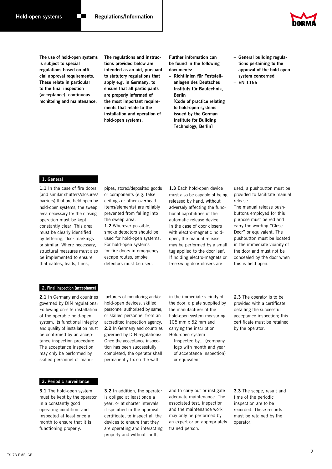

**The use of hold-open systems is subject to special regulations based on official approval requirements. These relate in particular to the final inspection (acceptance), continuous monitoring and maintenance.**

**The regulations and instructions provided below are intended as an aid, pursuant to statutory regulations that apply e.g. in Germany, to ensure that all participants are properly informed of the most important requirements that relate to the installation and operation of hold-open systems.**

**Further information can be found in the following documents:**

**– Richtlinien für Feststellanlagen des Deutsches Instituts für Bautechnik, Berlin [Code of practice relating to hold-open systems issued by the German Institute for Building Technology, Berlin]**

**– General building regulations pertaining to the approval of the hold-open system concerned**

**– EN 1155**

#### **1. General**

**1.1** In the case of fire doors (and similar shutters/closures/ barriers) that are held open by hold-open systems, the sweep area necessary for the closing operation must be kept constantly clear. This area must be clearly identified by lettering, floor markings or similar. Where necessary, structural measures must also be implemented to ensure that cables, leads, lines,

pipes, stored/deposited goods or components (e.g. false ceilings or other overhead items/elements) are reliably prevented from falling into the sweep area.

**1.2** Wherever possible, smoke detectors should be used for hold-open systems. For hold-open systems for fire doors in emergency escape routes, smoke detectors must be used.

**1.3** Each hold-open device must also be capable of being released by hand, without adversely affecting the functional capabilities of the automatic release device. In the case of door closers with electro-magnetic holdopen, the manual release may be performed by a small tug applied to the door leaf. If holding electro-magnets or free-swing door closers are

used, a pushbutton must be provided to facilitate manual release.

The manual release pushbuttons employed for this purpose must be red and carry the wording "Close Door" or equivalent. The pushbutton must be located in the immediate vicinity of the door and must not be concealed by the door when this is held open.

### **2. Final inspection (acceptance)**

**2.1** In Germany and countries governed by DIN regulations: Following on-site installation of the operable hold-open system, its functional integrity and quality of installation must be confirmed by an acceptance inspection procedure. The acceptance inspection may only be performed by skilled personnel of manufacturers of monitoring and/or hold-open devices, skilled personnel authorized by same, or skilled personnel from an accredited inspection agency. **2.2** In Germany and countries governed by DIN regulations: Once the acceptance inspection has been successfully completed, the operator shall permanently fix on the wall

in the immediate vicinity of the door, a plate supplied by the manufacturer of the hold-open system measuring 105 mm x 52 mm and carrying the inscription Hold-open system

Inspected by... (company logo with month and year of acceptance inspection) or equivalent

**2.3** The operator is to be provided with a certificate detailing the successful acceptance inspection; this certificate must be retained by the operator.

**3. Periodic surveillance**

**3.1** The hold-open system must be kept by the operator in a constantly good operating condition, and inspected at least once a month to ensure that it is functioning properly.

**3.2** In addition, the operator is obliged at least once a year, or at shorter intervals if specified in the approval certificate, to inspect all the devices to ensure that they are operating and interacting properly and without fault,

and to carry out or instigate adequate maintenance. The associated test, inspection and the maintenance work may only be performed by an expert or an appropriately trained person.

**3.3** The scope, result and time of the periodic inspection are to be recorded. These records must be retained by the operator.